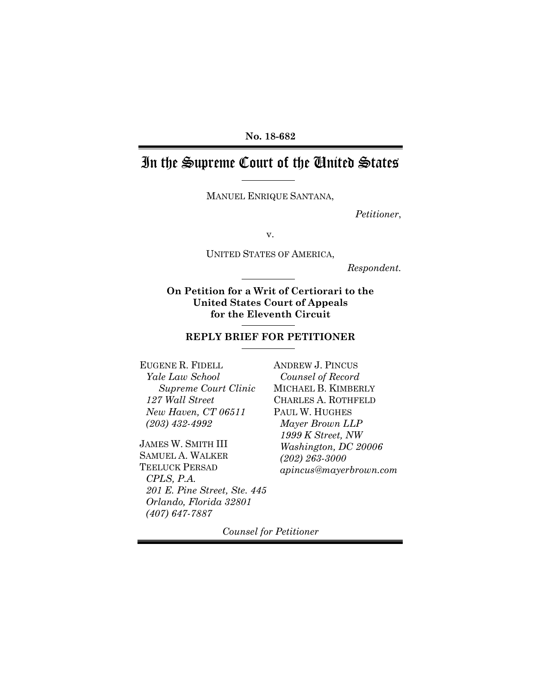#### **No. 18-682**

# In the Supreme Court of the United States

MANUEL ENRIQUE SANTANA,

*Petitioner*,

v.

UNITED STATES OF AMERICA,

*Respondent.*

**On Petition for a Writ of Certiorari to the United States Court of Appeals for the Eleventh Circuit** 

#### **REPLY BRIEF FOR PETITIONER**

EUGENE R. FIDELL *Yale Law School Supreme Court Clinic 127 Wall Street New Haven, CT 06511 (203) 432-4992* 

JAMES W. SMITH III SAMUEL A. WALKER TEELUCK PERSAD *CPLS, P.A. 201 E. Pine Street, Ste. 445 Orlando, Florida 32801 (407) 647-7887* 

ANDREW J. PINCUS *Counsel of Record*  MICHAEL B. KIMBERLY CHARLES A. ROTHFELD PAUL W. HUGHES *Mayer Brown LLP 1999 K Street, NW Washington, DC 20006 (202) 263-3000 apincus@mayerbrown.com*

*Counsel for Petitioner*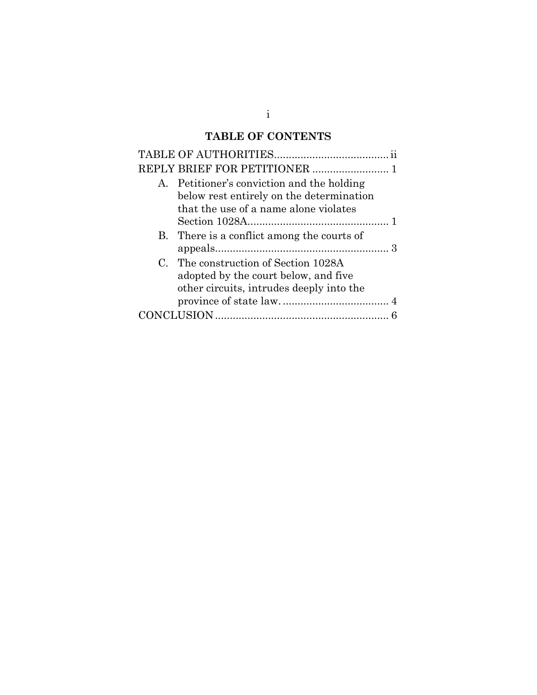# **TABLE OF CONTENTS**

i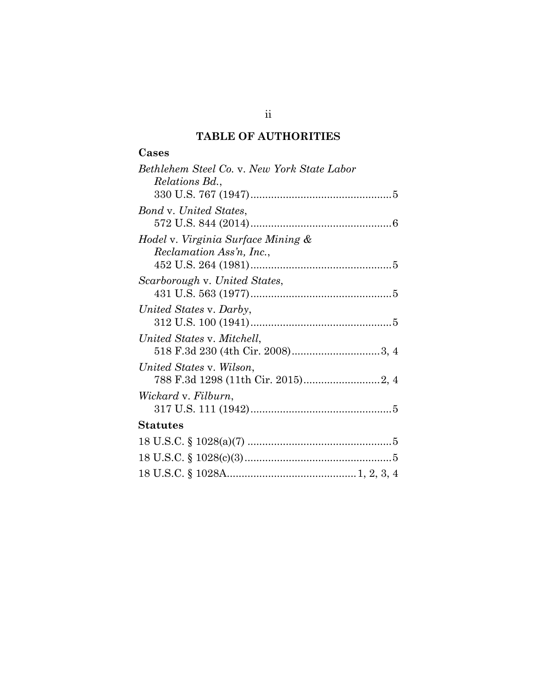# **TABLE OF AUTHORITIES**

## **Cases**

| Bethlehem Steel Co. v. New York State Labor |
|---------------------------------------------|
| Relations Bd.,                              |
|                                             |
| Bond v. United States,                      |
|                                             |
| Hodel v. Virginia Surface Mining &          |
| Reclamation Ass'n, Inc.,                    |
|                                             |
| Scarborough v. United States,               |
|                                             |
| United States v. Darby,                     |
|                                             |
| United States v. Mitchell,                  |
|                                             |
| United States v. Wilson,                    |
|                                             |
| Wickard v. Filburn,                         |
|                                             |
| <b>Statutes</b>                             |
|                                             |
|                                             |
|                                             |

ii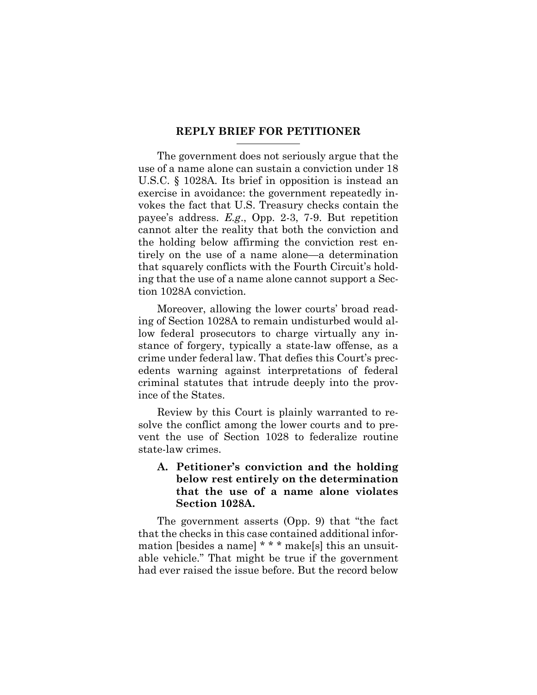#### **REPLY BRIEF FOR PETITIONER**

The government does not seriously argue that the use of a name alone can sustain a conviction under 18 U.S.C. § 1028A. Its brief in opposition is instead an exercise in avoidance: the government repeatedly invokes the fact that U.S. Treasury checks contain the payee's address. *E.g*., Opp. 2-3, 7-9. But repetition cannot alter the reality that both the conviction and the holding below affirming the conviction rest entirely on the use of a name alone—a determination that squarely conflicts with the Fourth Circuit's holding that the use of a name alone cannot support a Section 1028A conviction.

Moreover, allowing the lower courts' broad reading of Section 1028A to remain undisturbed would allow federal prosecutors to charge virtually any instance of forgery, typically a state-law offense, as a crime under federal law. That defies this Court's precedents warning against interpretations of federal criminal statutes that intrude deeply into the province of the States.

Review by this Court is plainly warranted to resolve the conflict among the lower courts and to prevent the use of Section 1028 to federalize routine state-law crimes.

### **A. Petitioner's conviction and the holding below rest entirely on the determination that the use of a name alone violates Section 1028A.**

The government asserts (Opp. 9) that "the fact that the checks in this case contained additional information [besides a name] \* \* \* make[s] this an unsuitable vehicle." That might be true if the government had ever raised the issue before. But the record below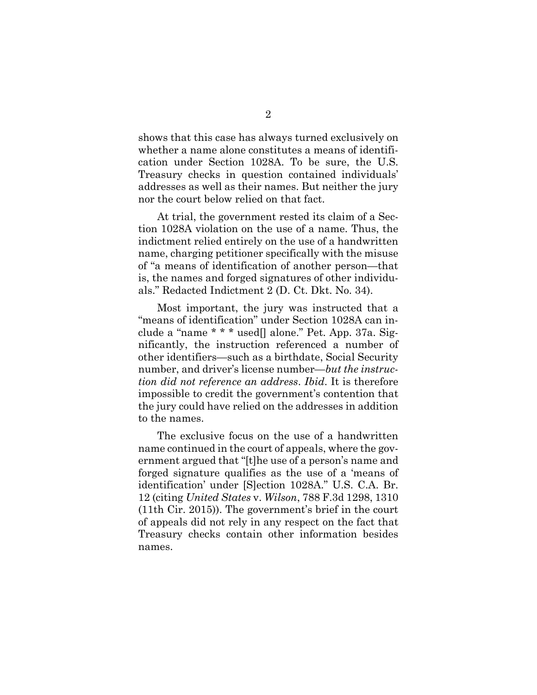shows that this case has always turned exclusively on whether a name alone constitutes a means of identification under Section 1028A. To be sure, the U.S. Treasury checks in question contained individuals' addresses as well as their names. But neither the jury nor the court below relied on that fact.

At trial, the government rested its claim of a Section 1028A violation on the use of a name. Thus, the indictment relied entirely on the use of a handwritten name, charging petitioner specifically with the misuse of "a means of identification of another person—that is, the names and forged signatures of other individuals." Redacted Indictment 2 (D. Ct. Dkt. No. 34).

Most important, the jury was instructed that a "means of identification" under Section 1028A can include a "name \* \* \* used[] alone." Pet. App. 37a. Significantly, the instruction referenced a number of other identifiers—such as a birthdate, Social Security number, and driver's license number—*but the instruction did not reference an address*. *Ibid*. It is therefore impossible to credit the government's contention that the jury could have relied on the addresses in addition to the names.

The exclusive focus on the use of a handwritten name continued in the court of appeals, where the government argued that "[t]he use of a person's name and forged signature qualifies as the use of a 'means of identification' under [S]ection 1028A." U.S. C.A. Br. 12 (citing *United States* v. *Wilson*, 788 F.3d 1298, 1310 (11th Cir. 2015)). The government's brief in the court of appeals did not rely in any respect on the fact that Treasury checks contain other information besides names.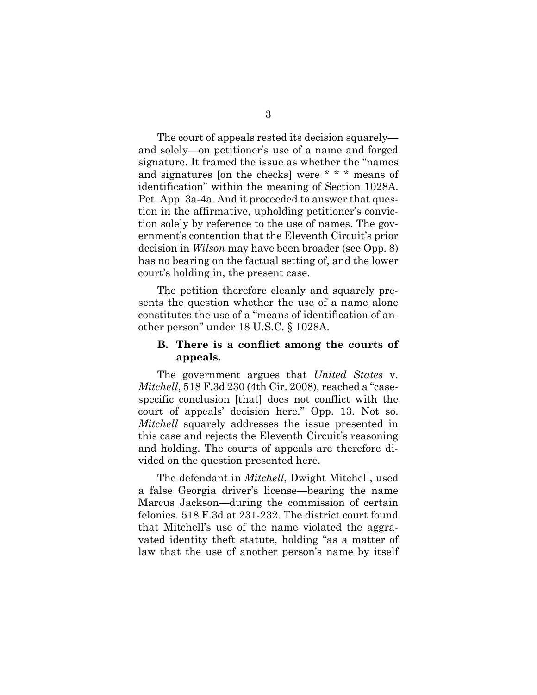The court of appeals rested its decision squarely and solely—on petitioner's use of a name and forged signature. It framed the issue as whether the "names and signatures [on the checks] were \* \* \* means of identification" within the meaning of Section 1028A. Pet. App. 3a-4a. And it proceeded to answer that question in the affirmative, upholding petitioner's conviction solely by reference to the use of names. The government's contention that the Eleventh Circuit's prior decision in *Wilson* may have been broader (see Opp. 8) has no bearing on the factual setting of, and the lower court's holding in, the present case.

The petition therefore cleanly and squarely presents the question whether the use of a name alone constitutes the use of a "means of identification of another person" under 18 U.S.C. § 1028A.

### **B. There is a conflict among the courts of appeals.**

The government argues that *United States* v. *Mitchell*, 518 F.3d 230 (4th Cir. 2008), reached a "casespecific conclusion [that] does not conflict with the court of appeals' decision here." Opp. 13. Not so. *Mitchell* squarely addresses the issue presented in this case and rejects the Eleventh Circuit's reasoning and holding. The courts of appeals are therefore divided on the question presented here.

The defendant in *Mitchell*, Dwight Mitchell, used a false Georgia driver's license—bearing the name Marcus Jackson—during the commission of certain felonies. 518 F.3d at 231-232. The district court found that Mitchell's use of the name violated the aggravated identity theft statute, holding "as a matter of law that the use of another person's name by itself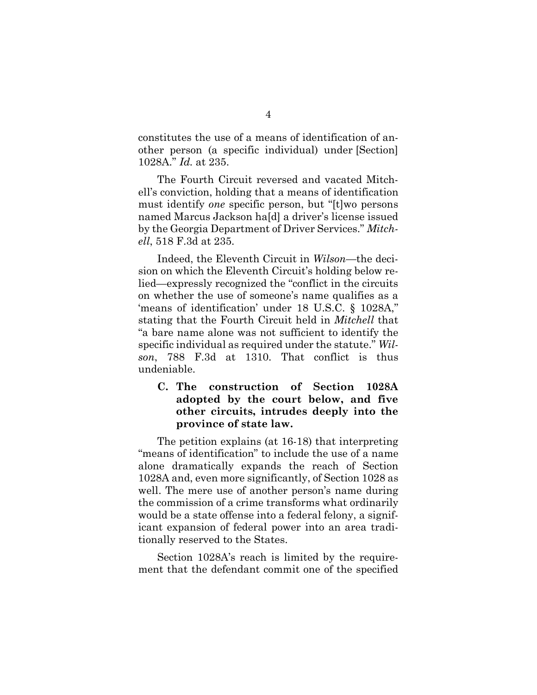constitutes the use of a means of identification of another person (a specific individual) under [Section] 1028A." *Id.* at 235.

The Fourth Circuit reversed and vacated Mitchell's conviction, holding that a means of identification must identify *one* specific person, but "[t]wo persons named Marcus Jackson ha[d] a driver's license issued by the Georgia Department of Driver Services." *Mitchell*, 518 F.3d at 235.

Indeed, the Eleventh Circuit in *Wilson*—the decision on which the Eleventh Circuit's holding below relied—expressly recognized the "conflict in the circuits on whether the use of someone's name qualifies as a 'means of identification' under 18 U.S.C. § 1028A," stating that the Fourth Circuit held in *Mitchell* that "a bare name alone was not sufficient to identify the specific individual as required under the statute." *Wilson*, 788 F.3d at 1310. That conflict is thus undeniable.

### **C. The construction of Section 1028A adopted by the court below, and five other circuits, intrudes deeply into the province of state law.**

The petition explains (at 16-18) that interpreting "means of identification" to include the use of a name alone dramatically expands the reach of Section 1028A and, even more significantly, of Section 1028 as well. The mere use of another person's name during the commission of a crime transforms what ordinarily would be a state offense into a federal felony, a significant expansion of federal power into an area traditionally reserved to the States.

Section 1028A's reach is limited by the requirement that the defendant commit one of the specified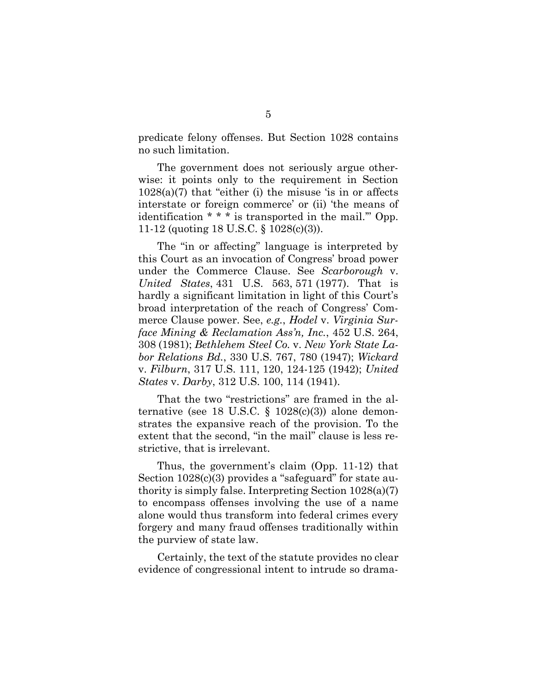predicate felony offenses. But Section 1028 contains no such limitation.

The government does not seriously argue otherwise: it points only to the requirement in Section  $1028(a)(7)$  that "either (i) the misuse 'is in or affects interstate or foreign commerce' or (ii) 'the means of identification \* \* \* is transported in the mail.'" Opp. 11-12 (quoting 18 U.S.C. § 1028(c)(3)).

The "in or affecting" language is interpreted by this Court as an invocation of Congress' broad power under the Commerce Clause. See *Scarborough* v. *United States*, 431 U.S. 563, 571 (1977). That is hardly a significant limitation in light of this Court's broad interpretation of the reach of Congress' Commerce Clause power. See, *e.g.*, *Hodel* v. *Virginia Surface Mining & Reclamation Ass'n, Inc.*, 452 U.S. 264, 308 (1981); *Bethlehem Steel Co.* v. *New York State Labor Relations Bd.*, 330 U.S. 767, 780 (1947); *Wickard*  v. *Filburn*, 317 U.S. 111, 120, 124-125 (1942); *United States* v. *Darby*, 312 U.S. 100, 114 (1941).

That the two "restrictions" are framed in the alternative (see 18 U.S.C. § 1028 $(c)(3)$ ) alone demonstrates the expansive reach of the provision. To the extent that the second, "in the mail" clause is less restrictive, that is irrelevant.

Thus, the government's claim (Opp. 11-12) that Section 1028(c)(3) provides a "safeguard" for state authority is simply false. Interpreting Section 1028(a)(7) to encompass offenses involving the use of a name alone would thus transform into federal crimes every forgery and many fraud offenses traditionally within the purview of state law.

Certainly, the text of the statute provides no clear evidence of congressional intent to intrude so drama